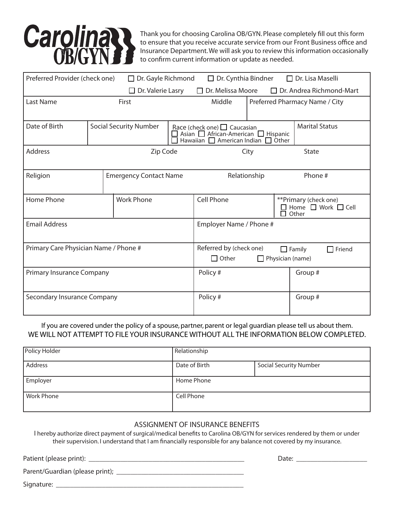

Thank you for choosing Carolina OB/GYN. Please completely fill out this form to ensure that you receive accurate service from our Front Business office and Insurance Department. We will ask you to review this information occasionally to confirm current information or update as needed.

| Preferred Provider (check one)<br>$\Box$ Dr. Gayle Richmond |  |                                                                                                              | $\Box$ Dr. Cynthia Bindner<br>$\Box$ Dr. Lisa Maselli |                                                                                                                             |      |  |                                                                       |
|-------------------------------------------------------------|--|--------------------------------------------------------------------------------------------------------------|-------------------------------------------------------|-----------------------------------------------------------------------------------------------------------------------------|------|--|-----------------------------------------------------------------------|
|                                                             |  | $\Box$<br>Dr. Valerie Lasry                                                                                  |                                                       | $\Box$ Dr. Melissa Moore                                                                                                    |      |  | $\Box$ Dr. Andrea Richmond-Mart                                       |
| <b>Last Name</b>                                            |  | First                                                                                                        |                                                       | Middle                                                                                                                      |      |  | Preferred Pharmacy Name / City                                        |
|                                                             |  |                                                                                                              |                                                       |                                                                                                                             |      |  |                                                                       |
| Date of Birth                                               |  | <b>Social Security Number</b>                                                                                |                                                       | Race (check one) $\Box$ Caucasian<br>Asian □ African-American □ Hispanic<br>American Indian $\Box$ Other<br>Hawaiian $\Box$ |      |  | <b>Marital Status</b>                                                 |
| <b>Address</b>                                              |  | Zip Code                                                                                                     |                                                       |                                                                                                                             | City |  | State                                                                 |
| Religion                                                    |  | <b>Emergency Contact Name</b>                                                                                |                                                       | Relationship                                                                                                                |      |  | Phone #                                                               |
| Home Phone                                                  |  | <b>Work Phone</b>                                                                                            |                                                       | <b>Cell Phone</b>                                                                                                           |      |  | **Primary (check one)<br>$\Box$ Home $\Box$ Work $\Box$ Cell<br>Other |
| <b>Email Address</b>                                        |  |                                                                                                              |                                                       | Employer Name / Phone #                                                                                                     |      |  |                                                                       |
| Primary Care Physician Name / Phone #                       |  | Referred by (check one)<br>$\mathsf{\mathsf{T}}$ Friend<br>$\Box$ Family<br>$\Box$ Other<br>Physician (name) |                                                       |                                                                                                                             |      |  |                                                                       |
| Primary Insurance Company                                   |  |                                                                                                              |                                                       | Policy #                                                                                                                    |      |  | Group #                                                               |
| Secondary Insurance Company                                 |  |                                                                                                              |                                                       | Policy#                                                                                                                     |      |  | Group #                                                               |

If you are covered under the policy of a spouse, partner, parent or legal guardian please tell us about them. WE WILL NOT ATTEMPT TO FILE YOUR INSURANCE WITHOUT ALL THE INFORMATION BELOW COMPLETED.

| Policy Holder     | Relationship  |                               |
|-------------------|---------------|-------------------------------|
| Address           | Date of Birth | <b>Social Security Number</b> |
| Employer          | Home Phone    |                               |
| <b>Work Phone</b> | Cell Phone    |                               |

### ASSIGNMENT OF INSURANCE BENEFITS

I hereby authorize direct payment of surgical/medical benefits to Carolina OB/GYN for services rendered by them or under their supervision. I understand that I am financially responsible for any balance not covered by my insurance.

Patient (please print): \_\_\_\_\_\_\_\_\_\_\_\_\_\_\_\_\_\_\_\_\_\_\_\_\_\_\_\_\_\_\_\_\_\_\_\_\_\_\_\_\_\_\_\_ Date: \_\_\_\_\_\_\_\_\_\_\_\_\_\_\_\_\_\_\_\_

Parent/Guardian (please print);

Signature: \_\_\_\_\_\_\_\_\_\_\_\_\_\_\_\_\_\_\_\_\_\_\_\_\_\_\_\_\_\_\_\_\_\_\_\_\_\_\_\_\_\_\_\_\_\_\_\_\_\_\_\_\_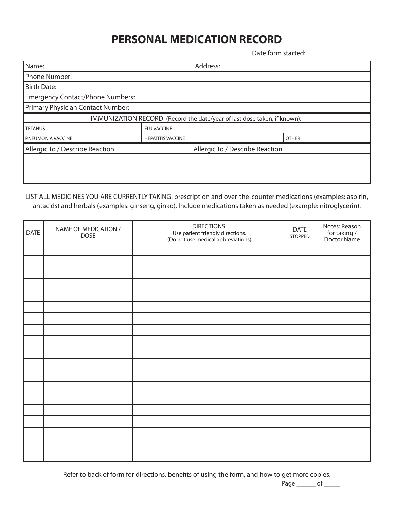# **PERSONAL MEDICATION RECORD**

Date form started:

| Name:                                   |                          | Address:                                                                 |              |
|-----------------------------------------|--------------------------|--------------------------------------------------------------------------|--------------|
| <b>Phone Number:</b>                    |                          |                                                                          |              |
| <b>Birth Date:</b>                      |                          |                                                                          |              |
| <b>Emergency Contact/Phone Numbers:</b> |                          |                                                                          |              |
| Primary Physician Contact Number:       |                          |                                                                          |              |
|                                         |                          | IMMUNIZATION RECORD (Record the date/year of last dose taken, if known). |              |
| <b>TETANUS</b>                          | <b>FLU VACCINE</b>       |                                                                          |              |
| PNEUMONIA VACCINE                       | <b>HEPATITIS VACCINE</b> |                                                                          | <b>OTHER</b> |
| Allergic To / Describe Reaction         |                          | Allergic To / Describe Reaction                                          |              |
|                                         |                          |                                                                          |              |
|                                         |                          |                                                                          |              |
|                                         |                          |                                                                          |              |

### LIST ALL MEDICINES YOU ARE CURRENTLY TAKING: prescription and over-the-counter medications (examples: aspirin, antacids) and herbals (examples: ginseng, ginko). Include medications taken as needed (example: nitroglycerin).

| DATE | NAME OF MEDICATION /<br><b>DOSE</b> | <b>DIRECTIONS:</b><br>Use patient friendly directions.<br>(Do not use medical abbreviations) |  | Notes: Reason<br>for taking /<br>Doctor Name |
|------|-------------------------------------|----------------------------------------------------------------------------------------------|--|----------------------------------------------|
|      |                                     |                                                                                              |  |                                              |
|      |                                     |                                                                                              |  |                                              |
|      |                                     |                                                                                              |  |                                              |
|      |                                     |                                                                                              |  |                                              |
|      |                                     |                                                                                              |  |                                              |
|      |                                     |                                                                                              |  |                                              |
|      |                                     |                                                                                              |  |                                              |
|      |                                     |                                                                                              |  |                                              |
|      |                                     |                                                                                              |  |                                              |
|      |                                     |                                                                                              |  |                                              |
|      |                                     |                                                                                              |  |                                              |
|      |                                     |                                                                                              |  |                                              |
|      |                                     |                                                                                              |  |                                              |
|      |                                     |                                                                                              |  |                                              |
|      |                                     |                                                                                              |  |                                              |
|      |                                     |                                                                                              |  |                                              |
|      |                                     |                                                                                              |  |                                              |
|      |                                     |                                                                                              |  |                                              |
|      |                                     |                                                                                              |  |                                              |

Refer to back of form for directions, benefits of using the form, and how to get more copies.

Page \_\_\_\_\_\_\_ of \_\_\_\_\_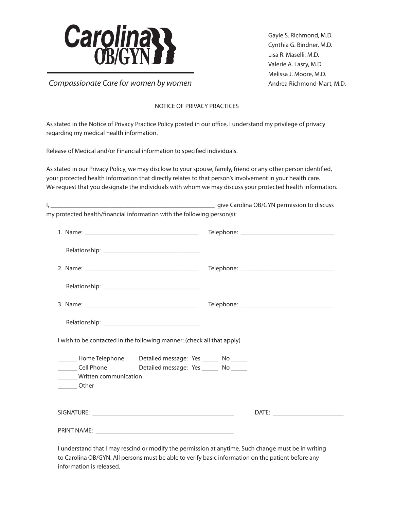

Gayle S. Richmond, M.D. Cynthia G. Bindner, M.D. Lisa R. Maselli, M.D. Valerie A. Lasry, M.D. Melissa J. Moore, M.D. Andrea Richmond-Mart, M.D.

*Compassionate Care for women by women*

### NOTICE OF PRIVACY PRACTICES

As stated in the Notice of Privacy Practice Policy posted in our office, I understand my privilege of privacy regarding my medical health information.

Release of Medical and/or Financial information to specified individuals.

As stated in our Privacy Policy, we may disclose to your spouse, family, friend or any other person identified, your protected health information that directly relates to that person's involvement in your health care. We request that you designate the individuals with whom we may discuss your protected health information.

| my protected health/financial information with the following person(s): |                                                                                                                   |  |
|-------------------------------------------------------------------------|-------------------------------------------------------------------------------------------------------------------|--|
|                                                                         |                                                                                                                   |  |
|                                                                         |                                                                                                                   |  |
|                                                                         |                                                                                                                   |  |
|                                                                         |                                                                                                                   |  |
|                                                                         |                                                                                                                   |  |
|                                                                         |                                                                                                                   |  |
|                                                                         | I wish to be contacted in the following manner: (check all that apply)                                            |  |
| ______ Written communication                                            | _______ Home Telephone Detailed message: Yes ______ No ______<br>Cell Phone Detailed message: Yes ______ No _____ |  |
| <b>Other</b>                                                            |                                                                                                                   |  |
|                                                                         |                                                                                                                   |  |
|                                                                         |                                                                                                                   |  |

I understand that I may rescind or modify the permission at anytime. Such change must be in writing to Carolina OB/GYN. All persons must be able to verify basic information on the patient before any information is released.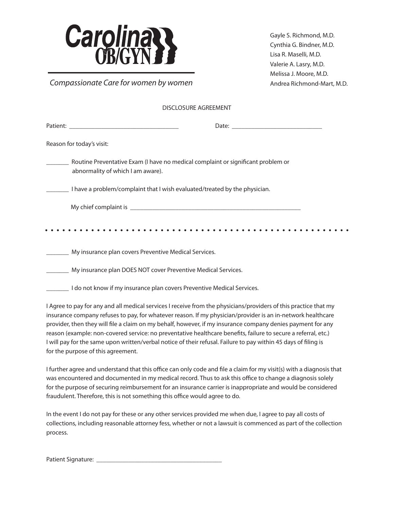

*Compassionate Care for women by women*

Gayle S. Richmond, M.D. Cynthia G. Bindner, M.D. Lisa R. Maselli, M.D. Valerie A. Lasry, M.D. Melissa J. Moore, M.D. Andrea Richmond-Mart, M.D.

| Reason for today's visit:                                                                                             |  |
|-----------------------------------------------------------------------------------------------------------------------|--|
| Routine Preventative Exam (I have no medical complaint or significant problem or<br>abnormality of which I am aware). |  |
| I have a problem/complaint that I wish evaluated/treated by the physician.                                            |  |
|                                                                                                                       |  |
|                                                                                                                       |  |

\_\_\_\_\_\_\_ My insurance plan covers Preventive Medical Services.

\_\_\_\_\_\_\_ My insurance plan DOES NOT cover Preventive Medical Services.

\_\_\_\_\_\_\_ I do not know if my insurance plan covers Preventive Medical Services.

I Agree to pay for any and all medical services I receive from the physicians/providers of this practice that my insurance company refuses to pay, for whatever reason. If my physician/provider is an in-network healthcare provider, then they will file a claim on my behalf, however, if my insurance company denies payment for any reason (example: non-covered service: no preventative healthcare benefits, failure to secure a referral, etc.) I will pay for the same upon written/verbal notice of their refusal. Failure to pay within 45 days of filing is for the purpose of this agreement.

I further agree and understand that this office can only code and file a claim for my visit(s) with a diagnosis that was encountered and documented in my medical record. Thus to ask this office to change a diagnosis solely for the purpose of securing reimbursement for an insurance carrier is inappropriate and would be considered fraudulent. Therefore, this is not something this office would agree to do.

In the event I do not pay for these or any other services provided me when due, I agree to pay all costs of collections, including reasonable attorney fess, whether or not a lawsuit is commenced as part of the collection process.

Patient Signature: \_\_\_\_\_\_\_\_\_\_\_\_\_\_\_\_\_\_\_\_\_\_\_\_\_\_\_\_\_\_\_\_\_\_\_\_\_\_\_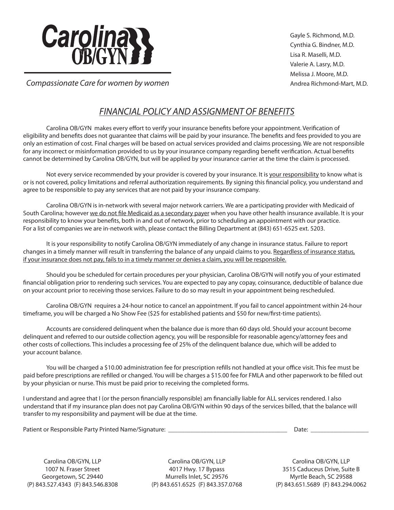

Gayle S. Richmond, M.D. Cynthia G. Bindner, M.D. Lisa R. Maselli, M.D. Valerie A. Lasry, M.D. Melissa J. Moore, M.D. Andrea Richmond-Mart, M.D.

*Compassionate Care for women by women*

# *FINANCIAL POLICY AND ASSIGNMENT OF BENEFITS*

Carolina OB/GYN makes every effort to verify your insurance benefits before your appointment. Verification of eligibility and benefits does not guarantee that claims will be paid by your insurance. The benefits and fees provided to you are only an estimation of cost. Final charges will be based on actual services provided and claims processing. We are not responsible for any incorrect or misinformation provided to us by your insurance company regarding benefit verification. Actual benefits cannot be determined by Carolina OB/GYN, but will be applied by your insurance carrier at the time the claim is processed.

Not every service recommended by your provider is covered by your insurance. It is your responsibility to know what is or is not covered, policy limitations and referral authorization requirements. By signing this financial policy, you understand and agree to be responsible to pay any services that are not paid by your insurance company.

Carolina OB/GYN is in-network with several major network carriers. We are a participating provider with Medicaid of South Carolina; however we do not file Medicaid as a secondary payer when you have other health insurance available. It is your responsibility to know your benefits, both in and out of network, prior to scheduling an appointment with our practice. For a list of companies we are in-network with, please contact the Billing Department at (843) 651-6525 ext. 5203.

It is your responsibility to notify Carolina OB/GYN immediately of any change in insurance status. Failure to report changes in a timely manner will result in transferring the balance of any unpaid claims to you. Regardless of insurance status, if your insurance does not pay, fails to in a timely manner or denies a claim, you will be responsible.

Should you be scheduled for certain procedures per your physician, Carolina OB/GYN will notify you of your estimated financial obligation prior to rendering such services. You are expected to pay any copay, coinsurance, deductible of balance due on your account prior to receiving those services. Failure to do so may result in your appointment being rescheduled.

Carolina OB/GYN requires a 24-hour notice to cancel an appointment. If you fail to cancel appointment within 24-hour timeframe, you will be charged a No Show Fee (\$25 for established patients and \$50 for new/first-time patients).

Accounts are considered delinquent when the balance due is more than 60 days old. Should your account become delinquent and referred to our outside collection agency, you will be responsible for reasonable agency/attorney fees and other costs of collections. This includes a processing fee of 25% of the delinquent balance due, which will be added to your account balance.

You will be charged a \$10.00 administration fee for prescription refills not handled at your office visit. This fee must be paid before prescriptions are refilled or changed. You will be charges a \$15.00 fee for FMLA and other paperwork to be filled out by your physician or nurse. This must be paid prior to receiving the completed forms.

I understand and agree that I (or the person financially responsible) am financially liable for ALL services rendered. I also understand that if my insurance plan does not pay Carolina OB/GYN within 90 days of the services billed, that the balance will transfer to my responsibility and payment will be due at the time.

Patient or Responsible Party Printed Name/Signature: \_\_\_\_\_\_\_\_\_\_\_\_\_\_\_\_\_\_\_\_\_\_\_\_\_\_\_\_\_\_\_\_\_\_\_\_\_ Date: \_\_\_\_\_\_\_\_\_\_\_\_\_\_\_\_\_\_

Carolina OB/GYN, LLP 1007 N. Fraser Street Georgetown, SC 29440 (P) 843.527.4343 (F) 843.546.8308

Carolina OB/GYN, LLP 4017 Hwy. 17 Bypass Murrells Inlet, SC 29576 (P) 843.651.6525 (F) 843.357.0768

Carolina OB/GYN, LLP 3515 Caduceus Drive, Suite B Myrtle Beach, SC 29588 (P) 843.651.5689 (F) 843.294.0062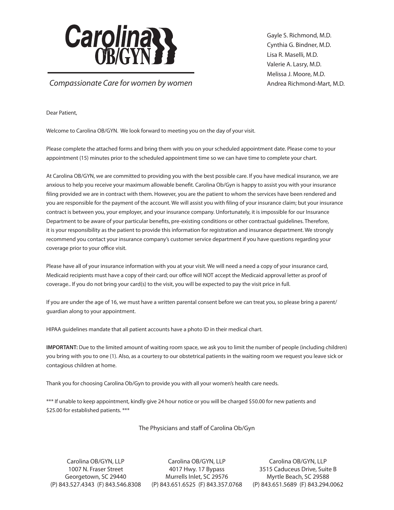

Gayle S. Richmond, M.D. Cynthia G. Bindner, M.D. Lisa R. Maselli, M.D. Valerie A. Lasry, M.D. Melissa J. Moore, M.D. Andrea Richmond-Mart, M.D.

*Compassionate Care for women by women*

Dear Patient,

Welcome to Carolina OB/GYN. We look forward to meeting you on the day of your visit.

Please complete the attached forms and bring them with you on your scheduled appointment date. Please come to your appointment (15) minutes prior to the scheduled appointment time so we can have time to complete your chart.

At Carolina OB/GYN, we are committed to providing you with the best possible care. If you have medical insurance, we are anxious to help you receive your maximum allowable benefit. Carolina Ob/Gyn is happy to assist you with your insurance filing provided we are in contract with them. However, you are the patient to whom the services have been rendered and you are responsible for the payment of the account. We will assist you with filing of your insurance claim; but your insurance contract is between you, your employer, and your insurance company. Unfortunately, it is impossible for our Insurance Department to be aware of your particular benefits, pre-existing conditions or other contractual guidelines. Therefore, it is your responsibility as the patient to provide this information for registration and insurance department. We strongly recommend you contact your insurance company's customer service department if you have questions regarding your coverage prior to your office visit.

Please have all of your insurance information with you at your visit. We will need a need a copy of your insurance card, Medicaid recipients must have a copy of their card; our office will NOT accept the Medicaid approval letter as proof of coverage.. If you do not bring your card(s) to the visit, you will be expected to pay the visit price in full.

If you are under the age of 16, we must have a written parental consent before we can treat you, so please bring a parent/ guardian along to your appointment.

HIPAA guidelines mandate that all patient accounts have a photo ID in their medical chart.

**IMPORTANT:** Due to the limited amount of waiting room space, we ask you to limit the number of people (including children) you bring with you to one (1). Also, as a courtesy to our obstetrical patients in the waiting room we request you leave sick or contagious children at home.

Thank you for choosing Carolina Ob/Gyn to provide you with all your women's health care needs.

\*\*\* If unable to keep appointment, kindly give 24 hour notice or you will be charged \$50.00 for new patients and \$25.00 for established patients. \*\*\*

The Physicians and staff of Carolina Ob/Gyn

Carolina OB/GYN, LLP 1007 N. Fraser Street Georgetown, SC 29440

(P) 843.527.4343 (F) 843.546.8308 (P) 843.651.6525 (F) 843.357.0768Carolina OB/GYN, LLP 4017 Hwy. 17 Bypass Murrells Inlet, SC 29576

Carolina OB/GYN, LLP 3515 Caduceus Drive, Suite B Myrtle Beach, SC 29588 (P) 843.651.5689 (F) 843.294.0062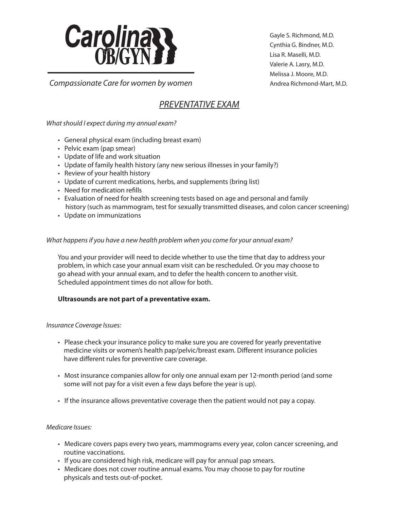

*Compassionate Care for women by women*

## *PREVENTATIVE EXAM*

*What should I expect during my annual exam?*

- General physical exam (including breast exam)
- Pelvic exam (pap smear)
- Update of life and work situation
- Update of family health history (any new serious illnesses in your family?)
- Review of your health history
- Update of current medications, herbs, and supplements (bring list)
- Need for medication refills
- Evaluation of need for health screening tests based on age and personal and family history (such as mammogram, test for sexually transmitted diseases, and colon cancer screening)
- Update on immunizations

### *What happens if you have a new health problem when you come for your annual exam?*

You and your provider will need to decide whether to use the time that day to address your problem, in which case your annual exam visit can be rescheduled. Or you may choose to go ahead with your annual exam, and to defer the health concern to another visit. Scheduled appointment times do not allow for both.

### **Ultrasounds are not part of a preventative exam.**

### *Insurance Coverage Issues:*

- Please check your insurance policy to make sure you are covered for yearly preventative medicine visits or women's health pap/pelvic/breast exam. Different insurance policies have different rules for preventive care coverage.
- Most insurance companies allow for only one annual exam per 12-month period (and some some will not pay for a visit even a few days before the year is up).
- If the insurance allows preventative coverage then the patient would not pay a copay.

### *Medicare Issues:*

- Medicare covers paps every two years, mammograms every year, colon cancer screening, and routine vaccinations.
- If you are considered high risk, medicare will pay for annual pap smears.
- Medicare does not cover routine annual exams. You may choose to pay for routine physicals and tests out-of-pocket.

Gayle S. Richmond, M.D. Cynthia G. Bindner, M.D. Lisa R. Maselli, M.D. Valerie A. Lasry, M.D. Melissa J. Moore, M.D. Andrea Richmond-Mart, M.D.